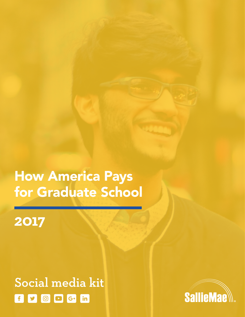# How America Pays for Graduate School

# **2017**

# Social media kitf y o D G+ in

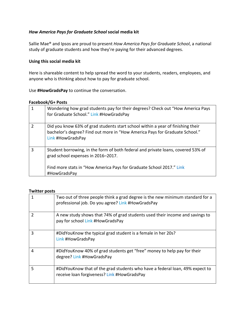# *How America Pays for Graduate School* **social media kit**

Sallie Mae<sup>®</sup> and Ipsos are proud to present *How America Pays for Graduate School*, a national study of graduate students and how they're paying for their advanced degrees.

#### **Using this social media kit**

Here is shareable content to help spread the word to your students, readers, employees, and anyone who is thinking about how to pay for graduate school.

#### Use **#HowGradsPay** to continue the conversation.

#### **Facebook/G+ Posts**

|                | Wondering how grad students pay for their degrees? Check out "How America Pays<br>for Graduate School." Link #HowGradsPay                                                                                      |
|----------------|----------------------------------------------------------------------------------------------------------------------------------------------------------------------------------------------------------------|
| $\overline{2}$ | Did you know 63% of grad students start school within a year of finishing their<br>bachelor's degree? Find out more in "How America Pays for Graduate School."<br>Link #HowGradsPay                            |
| 3              | Student borrowing, in the form of both federal and private loans, covered 53% of<br>grad school expenses in 2016-2017.<br>Find more stats in "How America Pays for Graduate School 2017." Link<br>#HowGradsPay |

#### **Twitter posts**

|   | Two out of three people think a grad degree is the new minimum standard for a<br>professional job. Do you agree? Link #HowGradsPay |
|---|------------------------------------------------------------------------------------------------------------------------------------|
| 2 | A new study shows that 74% of grad students used their income and savings to<br>pay for school Link #HowGradsPay                   |
| 3 | #DidYouKnow the typical grad student is a female in her 20s?<br>Link #HowGradsPay                                                  |
| 4 | #DidYouKnow 40% of grad students get "free" money to help pay for their<br>degree? Link #HowGradsPay                               |
| 5 | #DidYouKnow that of the grad students who have a federal loan, 49% expect to<br>receive loan forgiveness? Link #HowGradsPay        |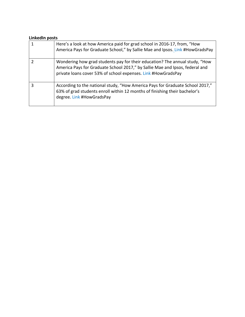# **LinkedIn posts**

|   | Here's a look at how America paid for grad school in 2016-17, from, "How<br>America Pays for Graduate School," by Sallie Mae and Ipsos. Link #HowGradsPay                                                                    |
|---|------------------------------------------------------------------------------------------------------------------------------------------------------------------------------------------------------------------------------|
|   | Wondering how grad students pay for their education? The annual study, "How<br>America Pays for Graduate School 2017," by Sallie Mae and Ipsos, federal and<br>private loans cover 53% of school expenses. Link #HowGradsPay |
| 3 | According to the national study, "How America Pays for Graduate School 2017,"<br>63% of grad students enroll within 12 months of finishing their bachelor's<br>degree. Link #HowGradsPay                                     |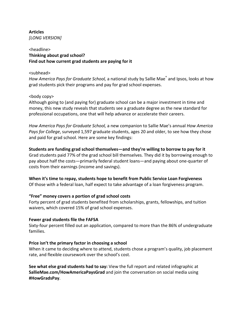# **Articles** *[LONG VERSION]*

# <headline> **Thinking about grad school?** Find out how current grad students are paying for it

#### <subhead>

*How America Pays for Graduate School,* a national study by Sallie Mae<sup>®</sup> and Ipsos, looks at how grad students pick their programs and pay for grad school expenses.

# <body copy>

Although going to (and paying for) graduate school can be a major investment in time and money, this new study reveals that students see a graduate degree as the new standard for professional occupations, one that will help advance or accelerate their careers.

*How America Pays for Graduate School,* a new companion to Sallie Mae's annual *How America* Pays for College, surveyed 1,597 graduate students, ages 20 and older, to see how they chose and paid for grad school. Here are some key findings:

Students are funding grad school themselves—and they're willing to borrow to pay for it Grad students paid 77% of the grad school bill themselves. They did it by borrowing enough to pay about half the costs—primarily federal student loans—and paying about one-quarter of costs from their earnings (income and savings).

# **When it's time to repay, students hope to benefit from Public Service Loan Forgiveness**

Of those with a federal loan, half expect to take advantage of a loan forgiveness program.

# **"Free" money covers a portion of grad school costs**

Forty percent of grad students benefited from scholarships, grants, fellowships, and tuition waivers, which covered 15% of grad school expenses.

# **Fewer grad students file the FAFSA**

Sixty-four percent filled out an application, compared to more than the 86% of undergraduate families. 

# **Price isn't the primary factor in choosing a school**

When it came to deciding where to attend, students chose a program's quality, job placement rate, and flexible coursework over the school's cost.

**See what else grad students had to say:** View the full report and related infographic at **SallieMae.com/HowAmericaPaysGrad** and join the conversation on social media using **#HowGradsPay**.